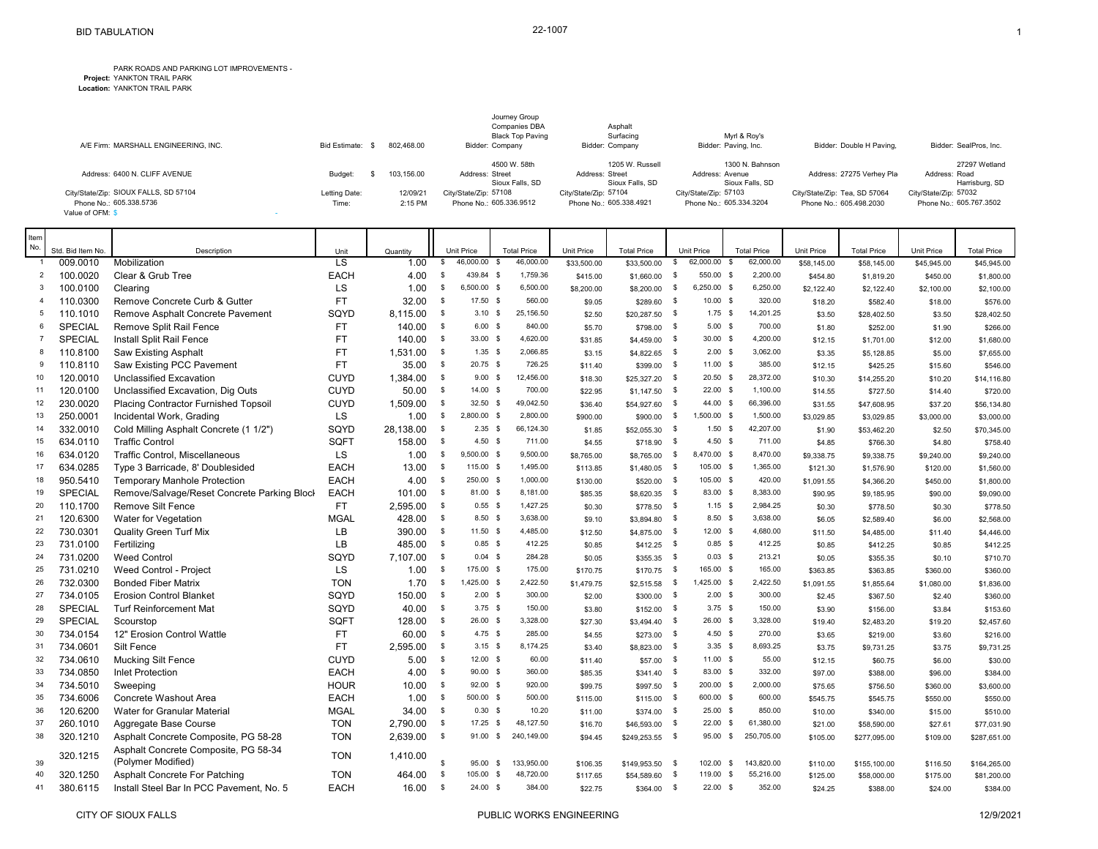## **Project:** PARK ROADS AND PARKING LOT IMPROVEMENTS - YANKTON TRAIL PARK

|                                             |               |            | Journey Group<br><b>Companies DBA</b> | Asphalt                            |                                    |                               |                                 |
|---------------------------------------------|---------------|------------|---------------------------------------|------------------------------------|------------------------------------|-------------------------------|---------------------------------|
|                                             |               |            | <b>Black Top Paving</b>               | Surfacing                          | Myrl & Roy's                       |                               |                                 |
| A/E Firm: MARSHALL ENGINEERING, INC.        | Bid Estimate: | 802.468.00 | Bidder: Company                       | Bidder: Company                    | Bidder: Paving, Inc.               | Bidder: Double H Paving,      | Bidder: SealPros, Inc.          |
|                                             |               |            | 4500 W. 58th                          | 1205 W. Russell                    | 1300 N. Bahnson                    |                               | 27297 Wetland                   |
| Address: 6400 N. CLIFF AVENUE               | Budget:       | 103.156.00 | Address: Street<br>Sioux Falls, SD    | Address: Street<br>Sioux Falls, SD | Address: Avenue<br>Sioux Falls, SD | Address: 27275 Verhev Pla     | Address: Road<br>Harrisburg, SD |
| City/State/Zip: SIOUX FALLS, SD 57104       | Letting Date: | 12/09/21   | City/State/Zip: 57108                 | City/State/Zip: 57104              | City/State/Zip: 57103              | City/State/Zip: Tea, SD 57064 | City/State/Zip: 57032           |
| Phone No.: 605.338.5736<br>Value of OFM: \$ | Time:         | 2:15 PM    | Phone No.: 605.336.9512               | Phone No.: 605.338.4921            | Phone No.: 605.334.3204            | Phone No.: 605.498.2030       | Phone No.: 605.767.3502         |

| Item<br>No.         |                  |                                                            |                                |           |                |                                |                                       |             |                    |              |                            |                                 |             |                    |             |                    |
|---------------------|------------------|------------------------------------------------------------|--------------------------------|-----------|----------------|--------------------------------|---------------------------------------|-------------|--------------------|--------------|----------------------------|---------------------------------|-------------|--------------------|-------------|--------------------|
|                     | Std. Bid Item No | Description                                                | Unit<br>$\overline{\text{LS}}$ | Quantity  | \$             | <b>Unit Price</b><br>46,000.00 | <b>Total Price</b><br>46,000.00<br>\$ | Unit Price  | <b>Total Price</b> | S            | Unit Price<br>62,000.00 \$ | <b>Total Price</b><br>62,000.00 | Unit Price  | <b>Total Price</b> | Unit Price  | <b>Total Price</b> |
| $\overline{2}$      | 009.0010         | Mobilization                                               |                                | 1.00      | $\sqrt{3}$     | 439.84 \$                      | 1,759.36                              | \$33,500.00 | \$33,500.00        |              | 550.00 \$                  | 2,200.00                        | \$58,145.00 | \$58,145.00        | \$45,945.00 | \$45,945.00        |
|                     | 100.0020         | Clear & Grub Tree                                          | <b>EACH</b>                    | 4.00      |                |                                |                                       | \$415.00    | $$1,660.00$ \$     |              |                            |                                 | \$454.80    | \$1,819.20         | \$450.00    | \$1,800.00         |
| 3<br>$\overline{4}$ | 100.0100         | Clearing                                                   | LS<br><b>FT</b>                | 1.00      | $\sqrt{3}$     | 6,500.00 \$<br>17.50 \$        | 6,500.00<br>560.00                    | \$8,200.00  | \$8,200.00         | - \$         | 6,250.00 \$<br>$10.00$ \$  | 6,250.00<br>320.00              | \$2,122.40  | \$2,122.40         | \$2,100.00  | \$2,100.00         |
|                     | 110.0300         | Remove Concrete Curb & Gutter                              |                                | 32.00     | $\sqrt{3}$     |                                |                                       | \$9.05      | $$289.60$ \$       |              |                            |                                 | \$18.20     | \$582.40           | \$18.00     | \$576.00           |
| 5<br>6              | 110.1010         | Remove Asphalt Concrete Pavement                           | SQYD                           | 8,115.00  | \$             | $3.10$ \$                      | 25,156.50                             | \$2.50      | \$20,287.50 \$     |              | $1.75$ \$                  | 14,201.25                       | \$3.50      | \$28,402.50        | \$3.50      | \$28,402.50        |
|                     | SPECIAL          | Remove Split Rail Fence                                    | <b>FT</b>                      | 140.00    | \$             | 6.00 S                         | 840.00                                | \$5.70      | \$798.00 \$        |              | $5.00$ \$                  | 700.00                          | \$1.80      | \$252.00           | \$1.90      | \$266.00           |
| $\overline{7}$      | SPECIAL          | Install Split Rail Fence                                   | <b>FT</b>                      | 140.00    | \$             | 33.00 \$                       | 4,620.00                              | \$31.85     | $$4,459.00$ \$     |              | 30.00 \$                   | 4,200.00                        | \$12.15     | \$1,701.00         | \$12.00     | \$1,680.00         |
| 8                   | 110.8100         | <b>Saw Existing Asphalt</b>                                | <b>FT</b>                      | 1,531.00  | \$             | $1.35$ \$                      | 2,066.85                              | \$3.15      | $$4,822.65$ \$     |              | $2.00$ \$                  | 3,062.00                        | \$3.35      | \$5,128.85         | \$5.00      | \$7,655.00         |
| 9                   | 110.8110         | Saw Existing PCC Pavement                                  | <b>FT</b>                      | 35.00     | $\sqrt{3}$     | $20.75$ \$                     | 726.25                                | \$11.40     | \$399.00           | $\mathbb{S}$ | 11.00 \$                   | 385.00                          | \$12.15     | \$425.25           | \$15.60     | \$546.00           |
| 10                  | 120.0010         | Unclassified Excavation                                    | <b>CUYD</b>                    | 1,384.00  | \$             | 9.00S                          | 12,456.00                             | \$18.30     | \$25,327.20 \$     |              | $20.50$ \$                 | 28,372.00                       | \$10.30     | \$14,255.20        | \$10.20     | \$14,116.80        |
| 11                  | 120.0100         | Unclassified Excavation, Dig Outs                          | <b>CUYD</b>                    | 50.00     | \$             | $14.00$ \$                     | 700.00                                | \$22.95     | $$1,147.50$ \$     |              | $22.00$ \$                 | 1,100.00                        | \$14.55     | \$727.50           | \$14.40     | \$720.00           |
| 12                  | 230.0020         | Placing Contractor Furnished Topsoil                       | <b>CUYD</b>                    | 1,509.00  | \$             | $32.50$ \$                     | 49,042.50                             | \$36.40     | \$54,927.60        | - \$         | 44.00 \$                   | 66,396.00                       | \$31.55     | \$47,608.95        | \$37.20     | \$56,134.80        |
| 13                  | 250.0001         | Incidental Work, Grading                                   | LS                             | 1.00      | $\sqrt{3}$     | 2,800.00 \$                    | 2,800.00                              | \$900.00    | \$900.00           | \$           | 1,500.00 \$                | 1,500.00                        | \$3,029.85  | \$3,029.85         | \$3,000.00  | \$3,000.00         |
| 14                  | 332.0010         | Cold Milling Asphalt Concrete (1 1/2")                     | SQYD                           | 28,138.00 | \$             | $2.35$ \$                      | 66,124.30                             | \$1.85      | \$52,055.30 \$     |              | $1.50$ \$                  | 42,207.00                       | \$1.90      | \$53,462.20        | \$2.50      | \$70,345.00        |
| 15                  | 634.0110         | <b>Traffic Control</b>                                     | SQFT                           | 158.00    | - \$           | $4.50$ \$                      | 711.00                                | \$4.55      | $$718.90$ \$       |              | $4.50$ \$                  | 711.00                          | \$4.85      | \$766.30           | \$4.80      | \$758.40           |
| 16                  | 634.0120         | Traffic Control, Miscellaneous                             | LS                             | 1.00      | $\sqrt{3}$     | 9,500.00 \$                    | 9,500.00                              | \$8,765.00  | \$8,765.00         | S.           | 8,470.00 \$                | 8,470.00                        | \$9,338.75  | \$9,338.75         | \$9,240.00  | \$9,240.00         |
| 17                  | 634.0285         | Type 3 Barricade, 8' Doublesided                           | <b>EACH</b>                    | 13.00     | $\sqrt{3}$     | 115.00 \$                      | 1,495.00                              | \$113.85    | $$1,480.05$ \$     |              | 105.00 \$                  | 1,365.00                        | \$121.30    | \$1,576.90         | \$120.00    | \$1,560.00         |
| 18                  | 950.5410         | <b>Temporary Manhole Protection</b>                        | <b>EACH</b>                    | 4.00      | \$             | 250.00 \$                      | 1,000.00                              | \$130.00    | \$520.00 \$        |              | 105.00 \$                  | 420.00                          | \$1,091.55  | \$4,366.20         | \$450.00    | \$1,800.00         |
| 19                  | SPECIAL          | Remove/Salvage/Reset Concrete Parking Block                | <b>EACH</b>                    | 101.00    | $\sqrt{3}$     | 81.00 \$                       | 8,181.00                              | \$85.35     | \$8,620.35 \$      |              | 83.00 \$                   | 8,383.00                        | \$90.95     | \$9,185.95         | \$90.00     | \$9,090.00         |
| 20                  | 110.1700         | <b>Remove Silt Fence</b>                                   | FT.                            | 2,595.00  | \$             | $0.55$ \$                      | 1,427.25                              | \$0.30      | \$778.50 \$        |              | $1.15$ \$                  | 2,984.25                        | \$0.30      | \$778.50           | \$0.30      | \$778.50           |
| 21                  | 120.6300         | Water for Vegetation                                       | <b>MGAL</b>                    | 428.00    | $\sqrt{3}$     | $8.50$ \$                      | 3,638.00                              | \$9.10      | $$3,894.80$ \$     |              | 8.50 \$                    | 3,638.00                        | \$6.05      | \$2,589.40         | \$6.00      | \$2,568.00         |
| 22                  | 730.0301         | <b>Quality Green Turf Mix</b>                              | LВ                             | 390.00    | $\mathfrak s$  | $11.50$ \$                     | 4,485.00                              | \$12.50     | \$4,875.00         | $\mathbb{S}$ | $12.00$ \$                 | 4,680.00                        | \$11.50     | \$4,485.00         | \$11.40     | \$4,446.00         |
| 23                  | 731.0100         | Fertilizing                                                | LВ                             | 485.00    | $\mathbf s$    | $0.85$ \$                      | 412.25                                | \$0.85      | $$412.25$ \$       |              | $0.85$ \$                  | 412.25                          | \$0.85      | \$412.25           | \$0.85      | \$412.25           |
| 24                  | 731.0200         | <b>Weed Control</b>                                        | SQYD                           | 7,107.00  | \$             | $0.04$ \$                      | 284.28                                | \$0.05      | $$355.35$ \$       |              | $0.03$ \$                  | 213.21                          | \$0.05      | \$355.35           | \$0.10      | \$710.70           |
| 25                  | 731.0210         | Weed Control - Project                                     | LS                             | 1.00      | \$             | 175.00 \$                      | 175.00                                | \$170.75    | $$170.75$ \$       |              | 165.00 \$                  | 165.00                          | \$363.85    | \$363.85           | \$360.00    | \$360.00           |
| 26                  | 732.0300         | <b>Bonded Fiber Matrix</b>                                 | <b>TON</b>                     | 1.70      | \$             | 1,425.00 \$                    | 2,422.50                              | \$1,479.75  | \$2,515.58         | - \$         | 1,425.00 \$                | 2,422.50                        | \$1,091.55  | \$1,855.64         | \$1,080.00  | \$1,836.00         |
| 27                  | 734.0105         | <b>Erosion Control Blanket</b>                             | SQYD                           | 150.00    | $\sqrt{3}$     | $2.00$ \$                      | 300.00                                | \$2.00      | $$300.00$ \$       |              | $2.00$ \$                  | 300.00                          | \$2.45      | \$367.50           | \$2.40      | \$360.00           |
| 28                  | <b>SPECIAL</b>   | <b>Turf Reinforcement Mat</b>                              | SQYD                           | 40.00     | \$             | $3.75$ \$                      | 150.00                                | \$3.80      | $$152.00$ \$       |              | $3.75$ \$                  | 150.00                          | \$3.90      | \$156.00           | \$3.84      | \$153.60           |
| 29                  | <b>SPECIAL</b>   | Scourstop                                                  | SQFT                           | 128.00    | $\sqrt{3}$     | $26.00$ \$                     | 3,328.00                              | \$27.30     | $$3,494.40$ \$     |              | $26.00$ \$                 | 3,328.00                        | \$19.40     | \$2,483.20         | \$19.20     | \$2,457.60         |
| 30                  | 734.0154         | 12" Erosion Control Wattle                                 | <b>FT</b>                      | 60.00     | $\mathfrak s$  | $4.75$ \$                      | 285.00                                | \$4.55      | $$273.00$ \$       |              | $4.50$ \$                  | 270.00                          | \$3.65      | \$219.00           | \$3.60      | \$216.00           |
| 31                  | 734.0601         | Silt Fence                                                 | <b>FT</b>                      | 2,595.00  | \$             | $3.15$ \$                      | 8,174.25                              | \$3.40      | \$8,823.00 \$      |              | $3.35$ \$                  | 8,693.25                        | \$3.75      | \$9,731.25         | \$3.75      | \$9,731.25         |
| 32                  | 734.0610         | <b>Mucking Silt Fence</b>                                  | <b>CUYD</b>                    | 5.00      | $\sqrt{3}$     | $12.00$ \$                     | 60.00                                 | \$11.40     | \$57.00 \$         |              | $11.00$ \$                 | 55.00                           | \$12.15     | \$60.75            | \$6.00      | \$30.00            |
| 33                  | 734.0850         | <b>Inlet Protection</b>                                    | <b>EACH</b>                    | 4.00      | $\mathfrak{s}$ | $90.00$ \$                     | 360.00                                | \$85.35     | $$341.40$ \$       |              | 83.00 \$                   | 332.00                          | \$97.00     | \$388.00           | \$96.00     | \$384.00           |
| 34                  | 734.5010         | Sweeping                                                   | <b>HOUR</b>                    | 10.00     | \$             | 92.00 \$                       | 920.00                                | \$99.75     | $$997.50$ \$       |              | 200.00 \$                  | 2,000.00                        | \$75.65     | \$756.50           | \$360.00    | \$3,600.00         |
| 35                  | 734.6006         | Concrete Washout Area                                      | <b>EACH</b>                    | 1.00      | $\sqrt{3}$     | 500.00 \$                      | 500.00                                | \$115.00    | $$115.00$ \$       |              | 600.00 \$                  | 600.00                          | \$545.75    | \$545.75           | \$550.00    | \$550.00           |
| 36                  | 120.6200         | Water for Granular Material                                | <b>MGAL</b>                    | 34.00     | $\mathbf s$    | $0.30$ \$                      | 10.20                                 | \$11.00     | \$374.00 \$        |              | $25.00$ \$                 | 850.00                          | \$10.00     | \$340.00           | \$15.00     | \$510.00           |
| 37                  | 260.1010         | Aggregate Base Course                                      | <b>TON</b>                     | 2,790.00  | $\sqrt{3}$     | 17.25 \$                       | 48,127.50                             | \$16.70     | \$46,593.00        | - \$         | $22.00$ \$                 | 61,380.00                       | \$21.00     | \$58,590.00        | \$27.61     | \$77,031.90        |
| 38                  | 320.1210         | Asphalt Concrete Composite, PG 58-28                       | <b>TON</b>                     | 2,639.00  | \$             | $91.00$ \$                     | 240,149.00                            | \$94.45     | $$249,253.55$ \$   |              | 95.00 \$                   | 250,705.00                      | \$105.00    | \$277,095.00       | \$109.00    | \$287,651.00       |
| 39                  | 320.1215         | Asphalt Concrete Composite, PG 58-34<br>(Polymer Modified) | <b>TON</b>                     | 1,410.00  | $\mathbf{s}$   | 95.00 \$                       | 133,950.00                            | \$106.35    | \$149,953.50 \$    |              | $102.00$ \$                | 143,820.00                      | \$110.00    | \$155,100.00       | \$116.50    | \$164,265.00       |
| 40                  | 320.1250         | Asphalt Concrete For Patching                              | <b>TON</b>                     | 464.00    | $\sqrt{3}$     | 105.00 \$                      | 48,720.00                             | \$117.65    | \$54,589.60        | - \$         | 119.00 \$                  | 55,216.00                       | \$125.00    | \$58,000.00        | \$175.00    | \$81,200.00        |
| 41                  | 380.6115         | Install Steel Bar In PCC Pavement, No. 5                   | <b>EACH</b>                    | 16.00     | \$             | $24.00$ \$                     | 384.00                                | \$22.75     | \$364.00 \$        |              | $22.00$ \$                 | 352.00                          | \$24.25     | \$388.00           | \$24.00     | \$384.00           |
|                     |                  |                                                            |                                |           |                |                                |                                       |             |                    |              |                            |                                 |             |                    |             |                    |

**Location:** YANKTON TRAIL PARK